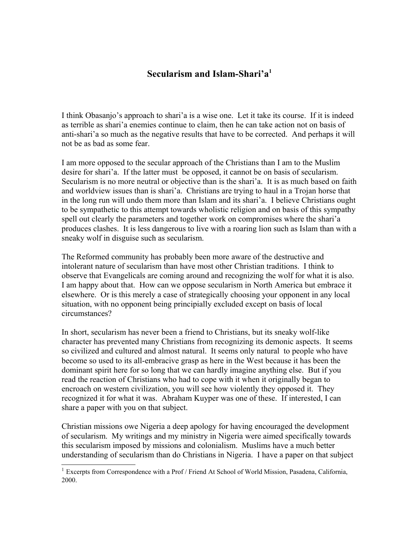## **Secularism and Islam-Shari'a[1](#page-0-0)**

I think Obasanjo's approach to shari'a is a wise one. Let it take its course. If it is indeed as terrible as shari'a enemies continue to claim, then he can take action not on basis of anti-shari'a so much as the negative results that have to be corrected. And perhaps it will not be as bad as some fear.

I am more opposed to the secular approach of the Christians than I am to the Muslim desire for shari'a. If the latter must be opposed, it cannot be on basis of secularism. Secularism is no more neutral or objective than is the shari'a. It is as much based on faith and worldview issues than is shari'a. Christians are trying to haul in a Trojan horse that in the long run will undo them more than Islam and its shari'a. I believe Christians ought to be sympathetic to this attempt towards wholistic religion and on basis of this sympathy spell out clearly the parameters and together work on compromises where the shari'a produces clashes. It is less dangerous to live with a roaring lion such as Islam than with a sneaky wolf in disguise such as secularism.

The Reformed community has probably been more aware of the destructive and intolerant nature of secularism than have most other Christian traditions. I think to observe that Evangelicals are coming around and recognizing the wolf for what it is also. I am happy about that. How can we oppose secularism in North America but embrace it elsewhere. Or is this merely a case of strategically choosing your opponent in any local situation, with no opponent being principially excluded except on basis of local circumstances?

In short, secularism has never been a friend to Christians, but its sneaky wolf-like character has prevented many Christians from recognizing its demonic aspects. It seems so civilized and cultured and almost natural. It seems only natural to people who have become so used to its all-embracive grasp as here in the West because it has been the dominant spirit here for so long that we can hardly imagine anything else. But if you read the reaction of Christians who had to cope with it when it originally began to encroach on western civilization, you will see how violently they opposed it. They recognized it for what it was. Abraham Kuyper was one of these. If interested, I can share a paper with you on that subject.

Christian missions owe Nigeria a deep apology for having encouraged the development of secularism. My writings and my ministry in Nigeria were aimed specifically towards this secularism imposed by missions and colonialism. Muslims have a much better understanding of secularism than do Christians in Nigeria. I have a paper on that subject

<span id="page-0-0"></span><sup>&</sup>lt;sup>1</sup> Excerpts from Correspondence with a Prof / Friend At School of World Mission, Pasadena, California, 2000.